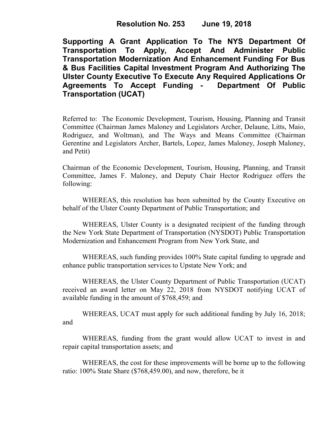**Supporting A Grant Application To The NYS Department Of Transportation To Apply, Accept And Administer Public Transportation Modernization And Enhancement Funding For Bus & Bus Facilities Capital Investment Program And Authorizing The Ulster County Executive To Execute Any Required Applications Or Agreements To Accept Funding - Department Of Public Transportation (UCAT)**

Referred to: The Economic Development, Tourism, Housing, Planning and Transit Committee (Chairman James Maloney and Legislators Archer, Delaune, Litts, Maio, Rodriguez, and Woltman), and The Ways and Means Committee (Chairman Gerentine and Legislators Archer, Bartels, Lopez, James Maloney, Joseph Maloney, and Petit)

Chairman of the Economic Development, Tourism, Housing, Planning, and Transit Committee, James F. Maloney, and Deputy Chair Hector Rodriguez offers the following:

WHEREAS, this resolution has been submitted by the County Executive on behalf of the Ulster County Department of Public Transportation; and

WHEREAS, Ulster County is a designated recipient of the funding through the New York State Department of Transportation (NYSDOT) Public Transportation Modernization and Enhancement Program from New York State, and

WHEREAS, such funding provides 100% State capital funding to upgrade and enhance public transportation services to Upstate New York; and

WHEREAS, the Ulster County Department of Public Transportation (UCAT) received an award letter on May 22, 2018 from NYSDOT notifying UCAT of available funding in the amount of \$768,459; and

WHEREAS, UCAT must apply for such additional funding by July 16, 2018; and

WHEREAS, funding from the grant would allow UCAT to invest in and repair capital transportation assets; and

WHEREAS, the cost for these improvements will be borne up to the following ratio: 100% State Share (\$768,459.00), and now, therefore, be it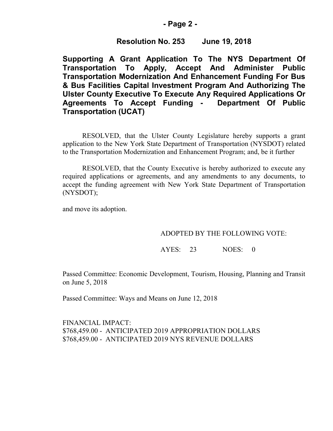## **- Page 2 -**

# **Resolution No. 253 June 19, 2018**

**Supporting A Grant Application To The NYS Department Of Transportation To Apply, Accept And Administer Public Transportation Modernization And Enhancement Funding For Bus & Bus Facilities Capital Investment Program And Authorizing The Ulster County Executive To Execute Any Required Applications Or Agreements To Accept Funding - Department Of Public Transportation (UCAT)**

RESOLVED, that the Ulster County Legislature hereby supports a grant application to the New York State Department of Transportation (NYSDOT) related to the Transportation Modernization and Enhancement Program; and, be it further

RESOLVED, that the County Executive is hereby authorized to execute any required applications or agreements, and any amendments to any documents, to accept the funding agreement with New York State Department of Transportation (NYSDOT);

and move its adoption.

### ADOPTED BY THE FOLLOWING VOTE:

AYES: 23 NOES: 0

Passed Committee: Economic Development, Tourism, Housing, Planning and Transit on June 5, 2018

Passed Committee: Ways and Means on June 12, 2018

FINANCIAL IMPACT: \$768,459.00 - ANTICIPATED 2019 APPROPRIATION DOLLARS \$768,459.00 - ANTICIPATED 2019 NYS REVENUE DOLLARS